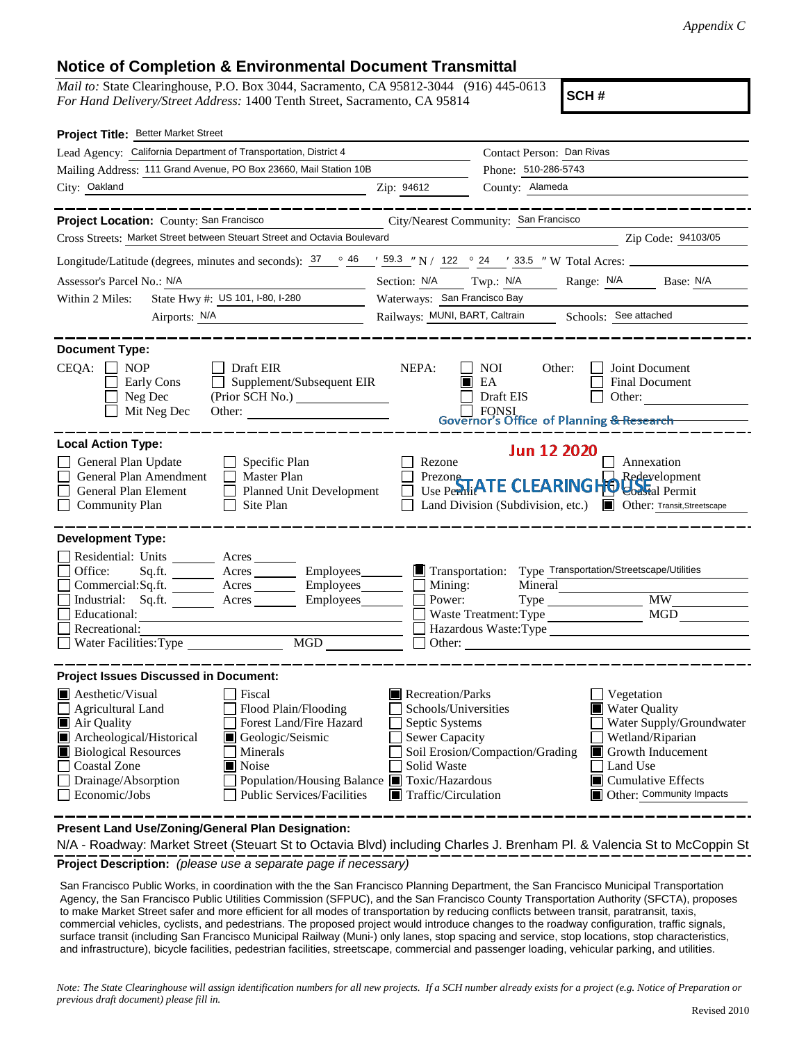## **Notice of Completion & Environmental Document Transmittal**

*Mail to:* State Clearinghouse, P.O. Box 3044, Sacramento, CA 95812-3044 (916) 445-0613 *For Hand Delivery/Street Address:* 1400 Tenth Street, Sacramento, CA 95814

**SCH #**

| Project Title: Better Market Street                                                                                                                                                                                                                                                                                                                                                                |                                                                                                                                          |                                                                                                                                                                                                                                          |  |  |  |
|----------------------------------------------------------------------------------------------------------------------------------------------------------------------------------------------------------------------------------------------------------------------------------------------------------------------------------------------------------------------------------------------------|------------------------------------------------------------------------------------------------------------------------------------------|------------------------------------------------------------------------------------------------------------------------------------------------------------------------------------------------------------------------------------------|--|--|--|
| Lead Agency: California Department of Transportation, District 4                                                                                                                                                                                                                                                                                                                                   |                                                                                                                                          | Contact Person: Dan Rivas                                                                                                                                                                                                                |  |  |  |
| Mailing Address: 111 Grand Avenue, PO Box 23660, Mail Station 10B                                                                                                                                                                                                                                                                                                                                  |                                                                                                                                          | Phone: 510-286-5743                                                                                                                                                                                                                      |  |  |  |
| City: Oakland                                                                                                                                                                                                                                                                                                                                                                                      | Zip: 94612                                                                                                                               | County: Alameda                                                                                                                                                                                                                          |  |  |  |
|                                                                                                                                                                                                                                                                                                                                                                                                    |                                                                                                                                          |                                                                                                                                                                                                                                          |  |  |  |
| Project Location: County: San Francisco                                                                                                                                                                                                                                                                                                                                                            |                                                                                                                                          | City/Nearest Community: San Francisco                                                                                                                                                                                                    |  |  |  |
| Cross Streets: Market Street between Steuart Street and Octavia Boulevard<br>Zip Code: 94103/05                                                                                                                                                                                                                                                                                                    |                                                                                                                                          |                                                                                                                                                                                                                                          |  |  |  |
| Longitude/Latitude (degrees, minutes and seconds): $37 \degree 46 \degree 59.3 \degree N$ / 122 $\degree 24 \degree 73.5 \degree W$ Total Acres:                                                                                                                                                                                                                                                   |                                                                                                                                          |                                                                                                                                                                                                                                          |  |  |  |
| Assessor's Parcel No.: N/A                                                                                                                                                                                                                                                                                                                                                                         | Section: N/A<br>Twp.: N/A Range: N/A Base: N/A                                                                                           |                                                                                                                                                                                                                                          |  |  |  |
| State Hwy #: US 101, I-80, I-280<br>Within 2 Miles:                                                                                                                                                                                                                                                                                                                                                | Waterways: San Francisco Bay                                                                                                             |                                                                                                                                                                                                                                          |  |  |  |
| Airports: N/A                                                                                                                                                                                                                                                                                                                                                                                      | Railways: MUNI, BART, Caltrain Schools: See attached                                                                                     |                                                                                                                                                                                                                                          |  |  |  |
| <b>Document Type:</b><br>$CEOA: \Box \text{NOP}$<br>Draft EIR<br>Supplement/Subsequent EIR<br>Early Cons<br>$\Box$<br>Neg Dec                                                                                                                                                                                                                                                                      | NEPA:                                                                                                                                    | NOI 11<br>Joint Document<br>Other:<br>$\blacksquare$ EA<br><b>Final Document</b><br>Draft EIS<br>Other:                                                                                                                                  |  |  |  |
| Mit Neg Dec<br>Other:                                                                                                                                                                                                                                                                                                                                                                              |                                                                                                                                          | FONSI FORSET FOR SOFFICE OF Planning & Research                                                                                                                                                                                          |  |  |  |
|                                                                                                                                                                                                                                                                                                                                                                                                    |                                                                                                                                          |                                                                                                                                                                                                                                          |  |  |  |
| <b>Local Action Type:</b><br>General Plan Update<br>Specific Plan<br>General Plan Amendment<br>$\Box$ Master Plan<br>General Plan Element<br>Planned Unit Development<br>$\Box$ Site Plan<br><b>Community Plan</b>                                                                                                                                                                                 | Rezone                                                                                                                                   | <b>Jun 12 2020</b><br>Annexation<br>Prezone<br>Use Permit ATE CLEARINGHOUGH al Permit<br>Redevelopment<br>Land Division (Subdivision, etc.) <b>I</b> Other: Transit, Streetscape                                                         |  |  |  |
| <b>Development Type:</b><br>Residential: Units ________ Acres___<br>Office:<br>Sq.ft. _________ Acres __________ Employees________<br>Commercial:Sq.ft. <u>Acres</u> Acres Employees<br>Industrial: Sq.ft. <u>Acres</u> Acres Employees<br>Educational:<br>Recreational:<br>$\overline{\text{MGD}}$                                                                                                | Mining:<br>Power:                                                                                                                        | Transportation: Type Transportation/Streetscape/Utilities<br>Mineral<br><b>MW</b><br>MGD<br>Waste Treatment: Type<br>Hazardous Waste:Type<br>Other:                                                                                      |  |  |  |
| <b>Project Issues Discussed in Document:</b>                                                                                                                                                                                                                                                                                                                                                       |                                                                                                                                          |                                                                                                                                                                                                                                          |  |  |  |
| Aesthetic/Visual<br>  Fiscal<br>Flood Plain/Flooding<br>Agricultural Land<br>Forest Land/Fire Hazard<br>Air Quality<br>Archeological/Historical<br>Geologic/Seismic<br><b>Biological Resources</b><br><b>Minerals</b><br><b>Coastal Zone</b><br>Noise<br>Population/Housing Balance ■ Toxic/Hazardous<br>Drainage/Absorption<br>$\mathbf{I}$<br>Economic/Jobs<br><b>Public Services/Facilities</b> | Recreation/Parks<br>Schools/Universities<br>Septic Systems<br><b>Sewer Capacity</b><br>Solid Waste<br>$\blacksquare$ Traffic/Circulation | $\Box$ Vegetation<br><b>Water Quality</b><br>Water Supply/Groundwater<br>Wetland/Riparian<br>Soil Erosion/Compaction/Grading<br>$\blacksquare$ Growth Inducement<br>Land Use<br> ■ Cumulative Effects<br><b>Other:</b> Community Impacts |  |  |  |

**Present Land Use/Zoning/General Plan Designation:**

**Project Description:** *(please use a separate page if necessary)* N/A - Roadway: Market Street (Steuart St to Octavia Blvd) including Charles J. Brenham Pl. & Valencia St to McCoppin St

 San Francisco Public Works, in coordination with the the San Francisco Planning Department, the San Francisco Municipal Transportation Agency, the San Francisco Public Utilities Commission (SFPUC), and the San Francisco County Transportation Authority (SFCTA), proposes to make Market Street safer and more efficient for all modes of transportation by reducing conflicts between transit, paratransit, taxis, commercial vehicles, cyclists, and pedestrians. The proposed project would introduce changes to the roadway configuration, traffic signals, surface transit (including San Francisco Municipal Railway (Muni-) only lanes, stop spacing and service, stop locations, stop characteristics, and infrastructure), bicycle facilities, pedestrian facilities, streetscape, commercial and passenger loading, vehicular parking, and utilities.

*Note: The State Clearinghouse will assign identification numbers for all new projects. If a SCH number already exists for a project (e.g. Notice of Preparation or previous draft document) please fill in.*